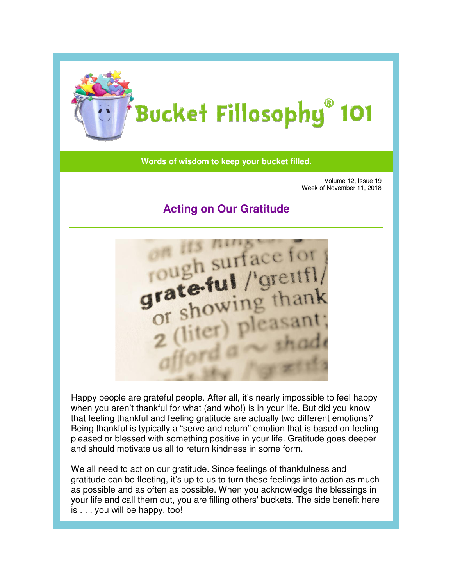

Words of wisdom to keep your bucket filled.

Volume 12, Issue 19 Week of November 11, 2018

## **Acting on Our Gratitude Gratitude**



Happy people are grateful people. After all, it's nearly impossible to feel happy<br>when you aren't thankful for what (and who!) is in your life. But did you know when you aren't thankful for what (and who!) is in your life. But did you know that feeling thankful and feeling gratitude are actually two different emotions? Being thankful is typically a "serve and return" emotion that is based on feeling pleased or blessed with something positive in your life. Gratitude goes deeper and should motivate us all to return kindness in some form. that feeling thankful and feeling gratitude are actually two different emotions?<br>Being thankful is typically a "serve and return" emotion that is based on feeling<br>pleased or blessed with something positive in your life. Gr

We all need to act on our gratitude. Since feelings of thankfulness and gratitude can be fleeting, it's up to us to turn these feelings into action as much as possible and as often as possible. W hen your life and call them out, you are filling others' buckets. The side benefit here is . . . you will be happy, too!